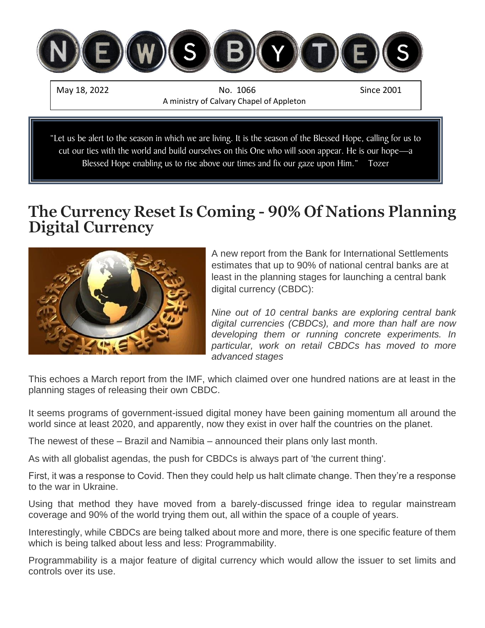

Blessed Hope enabling us to rise above our times and fix our gaze upon Him." Tozer

# **The Currency Reset Is Coming - 90% Of Nations Planning Digital Currency**



A new report from the Bank for International Settlements estimates that up to 90% of national central banks are at least in the planning stages for launching a central bank digital currency (CBDC):

*Nine out of 10 central banks are exploring central bank digital currencies (CBDCs), and more than half are now developing them or running concrete experiments. In particular, work on retail CBDCs has moved to more advanced stages*

This echoes a March report from the IMF, which claimed over one hundred nations are at least in the planning stages of releasing their own CBDC.

It seems programs of government-issued digital money have been gaining momentum all around the world since at least 2020, and apparently, now they exist in over half the countries on the planet.

The newest of these – Brazil and Namibia – announced their plans only last month.

As with all globalist agendas, the push for CBDCs is always part of 'the current thing'.

First, it was a response to Covid. Then they could help us halt climate change. Then they're a response to the war in Ukraine.

Using that method they have moved from a barely-discussed fringe idea to regular mainstream coverage and 90% of the world trying them out, all within the space of a couple of years.

Interestingly, while CBDCs are being talked about more and more, there is one specific feature of them which is being talked about less and less: Programmability.

Programmability is a major feature of digital currency which would allow the issuer to set limits and controls over its use.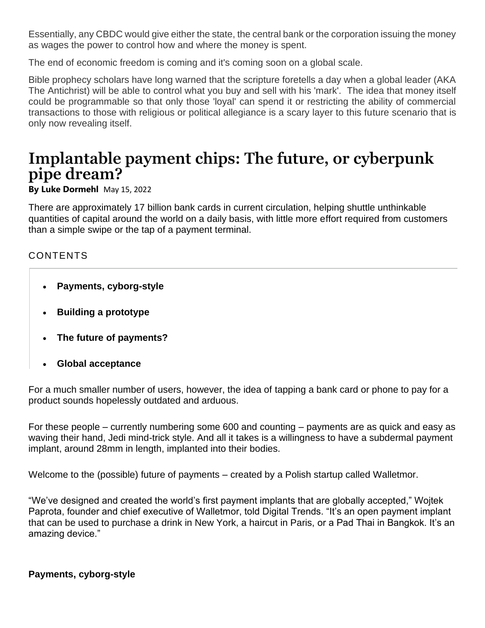Essentially, any CBDC would give either the state, the central bank or the corporation issuing the money as wages the power to control how and where the money is spent.

The end of economic freedom is coming and it's coming soon on a global scale.

Bible prophecy scholars have long warned that the scripture foretells a day when a global leader (AKA The Antichrist) will be able to control what you buy and sell with his 'mark'. The idea that money itself could be programmable so that only those 'loyal' can spend it or restricting the ability of commercial transactions to those with religious or political allegiance is a scary layer to this future scenario that is only now revealing itself.

# **Implantable payment chips: The future, or cyberpunk pipe dream?**

**By [Luke Dormehl](https://www.digitaltrends.com/users/ldormehl/)** May 15, 2022

There are [approximately 17 billion bank cards](https://www.paymentscardsandmobile.com/14-billion-cards-worldwide/) in current circulation, helping shuttle unthinkable quantities of capital around the world on a daily basis, with little more effort required from customers than a simple swipe or the tap of a payment terminal.

# CONTENTS

- **[Payments, cyborg-style](https://www.digitaltrends.com/cool-tech/walletmor-mobile-payment-chip-implant/#dt-heading-payments-cyborg-style)**
- **[Building a prototype](https://www.digitaltrends.com/cool-tech/walletmor-mobile-payment-chip-implant/#dt-heading-building-a-prototype)**
- **[The future of payments?](https://www.digitaltrends.com/cool-tech/walletmor-mobile-payment-chip-implant/#dt-heading-the-future-of-payments)**
- **[Global acceptance](https://www.digitaltrends.com/cool-tech/walletmor-mobile-payment-chip-implant/#dt-heading-global-acceptance)**

For a much smaller number of users, however, the idea of tapping a bank card or phone to pay for a product sounds hopelessly outdated and arduous.

For these people – currently numbering some 600 and counting – payments are as quick and easy as waving their hand, Jedi mind-trick style. And all it takes is a willingness to have a subdermal payment implant, around 28mm in length, implanted into their bodies.

Welcome to the (possible) future of payments – created by a Polish startup called [Walletmor.](https://walletmor.com/)

"We've designed and created the world's first payment implants that are globally accepted," Wojtek Paprota, founder and chief executive of Walletmor, told Digital Trends. "It's an open payment implant that can be used to purchase a drink in New York, a haircut in Paris, or a Pad Thai in Bangkok. It's an amazing device."

#### **Payments, cyborg-style**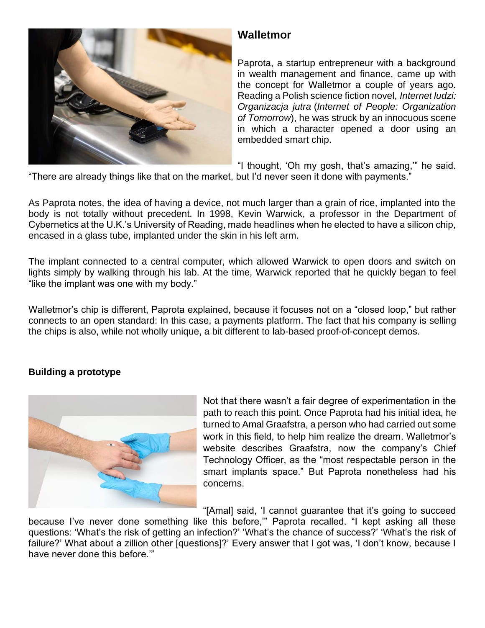# **Walletmor**

Paprota, a startup entrepreneur with a background in wealth management and finance, came up with the concept for Walletmor a couple of years ago. Reading a Polish science fiction novel, *Internet ludzi: Organizacja jutra* (*Internet of People: Organization of Tomorrow*), he was struck by an innocuous scene in which a character opened a door using an embedded smart chip.

"I thought, 'Oh my gosh, that's amazing,'" he said.

"There are already things like that on the market, but I'd never seen it done with payments."

As Paprota notes, the idea of having a device, not much larger than a grain of rice, implanted into the body is not totally without precedent. In 1998, Kevin Warwick, a professor in the Department of Cybernetics at the U.K.'s University of Reading, made headlines when he elected to have a silicon chip, encased in a glass tube, [implanted under the skin in his left arm.](https://blogs.reading.ac.uk/this-is-me/digital-identity-stories/professor-kevin-warwick-tells-his-di-story/)

The implant connected to a central computer, which allowed Warwick to open doors and switch on lights simply by walking through his lab. At the time, Warwick reported that he quickly began to feel "like the implant was one with my body."

Walletmor's chip is different, Paprota explained, because it focuses not on a "closed loop," but rather connects to an open standard: In this case, a payments platform. The fact that his company is selling the chips is also, while not wholly unique, a bit different to lab-based proof-of-concept demos.

# **Building a prototype**



Not that there wasn't a fair degree of experimentation in the path to reach this point. Once Paprota had his initial idea, he turned to Amal Graafstra, a person who had carried out some work in this field, to help him realize the dream. Walletmor's website describes Graafstra, now the company's Chief Technology Officer, as the "most respectable person in the smart implants space." But Paprota nonetheless had his concerns.

"[Amal] said, 'I cannot guarantee that it's going to succeed because I've never done something like this before,'" Paprota recalled. "I kept asking all these questions: 'What's the risk of getting an infection?' 'What's the chance of success?' 'What's the risk of failure?' What about a zillion other [questions]?' Every answer that I got was, 'I don't know, because I have never done this before.'"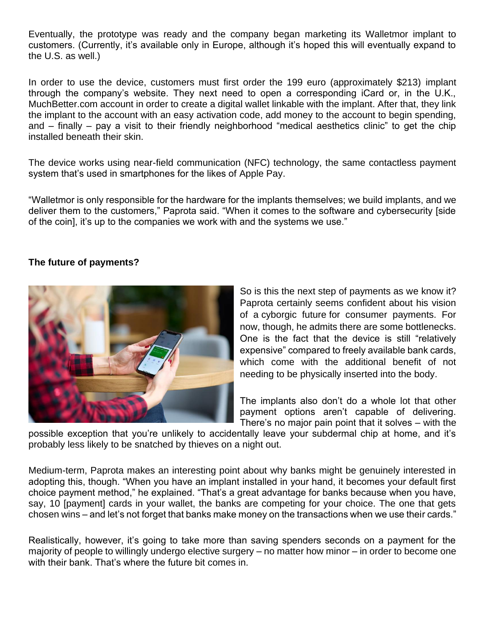Eventually, the prototype was ready and the company began marketing its Walletmor implant to customers. (Currently, it's available only in Europe, although it's hoped this will eventually expand to the U.S. as well.)

In order to use the device, customers must first order the 199 euro (approximately \$213) implant through the company's website. They next need to open a corresponding iCard or, in the U.K., MuchBetter.com account in order to create a digital wallet linkable with the implant. After that, they link the implant to the account with an easy activation code, add money to the account to begin spending, and – finally – pay a visit to their friendly neighborhood "medical aesthetics clinic" to get the chip installed beneath their skin.

The device works using near-field communication (NFC) technology, the same contactless payment system that's used in smartphones for the likes of [Apple Pay.](https://www.digitaltrends.com/mobile/apple-pay-most-popular/)

"Walletmor is only responsible for the hardware for the implants themselves; we build implants, and we deliver them to the customers," Paprota said. "When it comes to the software and cybersecurity [side of the coin], it's up to the companies we work with and the systems we use."

### **The future of payments?**



So is this the next step of payments as we know it? Paprota certainly seems confident about his vision of a [cyborgic future](https://www.digitaltrends.com/cool-tech/dt10-cyborgs-are-here-the-next-steps-will-make-you-nauseous/) for consumer payments. For now, though, he admits there are some bottlenecks. One is the fact that the device is still "relatively expensive" compared to freely available bank cards, which come with the additional benefit of not needing to be physically inserted into the body.

The implants also don't do a whole lot that other payment options aren't capable of delivering. There's no major pain point that it solves – with the

possible exception that you're unlikely to accidentally leave your subdermal chip at home, and it's probably less likely to be snatched by thieves on a night out.

Medium-term, Paprota makes an interesting point about why banks might be genuinely interested in adopting this, though. "When you have an implant installed in your hand, it becomes your default first choice payment method," he explained. "That's a great advantage for banks because when you have, say, 10 [payment] cards in your wallet, the banks are competing for your choice. The one that gets chosen wins – and let's not forget that banks make money on the transactions when we use their cards."

Realistically, however, it's going to take more than saving spenders seconds on a payment for the majority of people to willingly undergo elective surgery – no matter how minor – in order to become one with their bank. That's where the future bit comes in.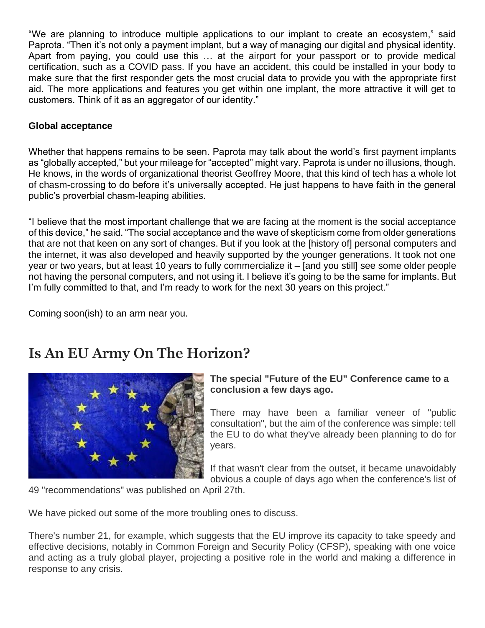"We are planning to introduce multiple applications to our implant to create an ecosystem," said Paprota. "Then it's not only a payment implant, but a way of managing our digital and physical identity. Apart from paying, you could use this … at the airport for your passport or to provide medical certification, such as a COVID pass. If you have an accident, this could be installed in your body to make sure that the first responder gets the most crucial data to provide you with the appropriate first aid. The more applications and features you get within one implant, the more attractive it will get to customers. Think of it as an aggregator of our identity."

## **Global acceptance**

Whether that happens remains to be seen. Paprota may talk about the world's first payment implants as "globally accepted," but your mileage for "accepted" might vary. Paprota is under no illusions, though. He knows, in the words of organizational theorist Geoffrey Moore, that this kind of tech has a whole lot of [chasm-crossing](https://www.stratrix.com/crossing-the-chasm/) to do before it's universally accepted. He just happens to have faith in the general public's proverbial chasm-leaping abilities.

"I believe that the most important challenge that we are facing at the moment is the social acceptance of this device," he said. "The social acceptance and the wave of skepticism come from older generations that are not that keen on any sort of changes. But if you look at the [history of] personal computers and the internet, it was also developed and heavily supported by the younger generations. It took not one year or two years, but at least 10 years to fully commercialize it – [and you still] see some older people not having the personal computers, and not using it. I believe it's going to be the same for implants. But I'm fully committed to that, and I'm ready to work for the next 30 years on this project."

Coming soon(ish) to an arm near you.

# **Is An EU Army On The Horizon?**



## **The special "Future of the EU" Conference came to a conclusion a few days ago.**

There may have been a familiar veneer of "public consultation", but the aim of the conference was simple: tell the EU to do what they've already been planning to do for years.

If that wasn't clear from the outset, it became unavoidably obvious a couple of days ago when the conference's list of

49 "recommendations" was published on April 27th.

We have picked out some of the more troubling ones to discuss.

There's number 21, for example, which suggests that the EU improve its capacity to take speedy and effective decisions, notably in Common Foreign and Security Policy (CFSP), speaking with one voice and acting as a truly global player, projecting a positive role in the world and making a difference in response to any crisis.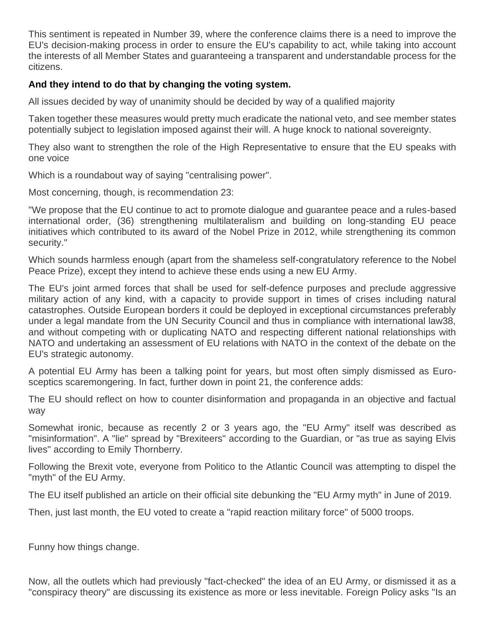This sentiment is repeated in Number 39, where the conference claims there is a need to improve the EU's decision-making process in order to ensure the EU's capability to act, while taking into account the interests of all Member States and guaranteeing a transparent and understandable process for the citizens.

# **And they intend to do that by changing the voting system.**

All issues decided by way of unanimity should be decided by way of a qualified majority

Taken together these measures would pretty much eradicate the national veto, and see member states potentially subject to legislation imposed against their will. A huge knock to national sovereignty.

They also want to strengthen the role of the High Representative to ensure that the EU speaks with one voice

Which is a roundabout way of saying "centralising power".

Most concerning, though, is recommendation 23:

"We propose that the EU continue to act to promote dialogue and guarantee peace and a rules-based international order, (36) strengthening multilateralism and building on long-standing EU peace initiatives which contributed to its award of the Nobel Prize in 2012, while strengthening its common security."

Which sounds harmless enough (apart from the shameless self-congratulatory reference to the Nobel Peace Prize), except they intend to achieve these ends using a new EU Army.

The EU's joint armed forces that shall be used for self-defence purposes and preclude aggressive military action of any kind, with a capacity to provide support in times of crises including natural catastrophes. Outside European borders it could be deployed in exceptional circumstances preferably under a legal mandate from the UN Security Council and thus in compliance with international law38, and without competing with or duplicating NATO and respecting different national relationships with NATO and undertaking an assessment of EU relations with NATO in the context of the debate on the EU's strategic autonomy.

A potential EU Army has been a talking point for years, but most often simply dismissed as Eurosceptics scaremongering. In fact, further down in point 21, the conference adds:

The EU should reflect on how to counter disinformation and propaganda in an objective and factual way

Somewhat ironic, because as recently 2 or 3 years ago, the "EU Army" itself was described as "misinformation". A "lie" spread by "Brexiteers" according to the Guardian, or "as true as saying Elvis lives" according to Emily Thornberry.

Following the Brexit vote, everyone from Politico to the Atlantic Council was attempting to dispel the "myth" of the EU Army.

The EU itself published an article on their official site debunking the "EU Army myth" in June of 2019.

Then, just last month, the EU voted to create a "rapid reaction military force" of 5000 troops.

Funny how things change.

Now, all the outlets which had previously "fact-checked" the idea of an EU Army, or dismissed it as a "conspiracy theory" are discussing its existence as more or less inevitable. Foreign Policy asks "Is an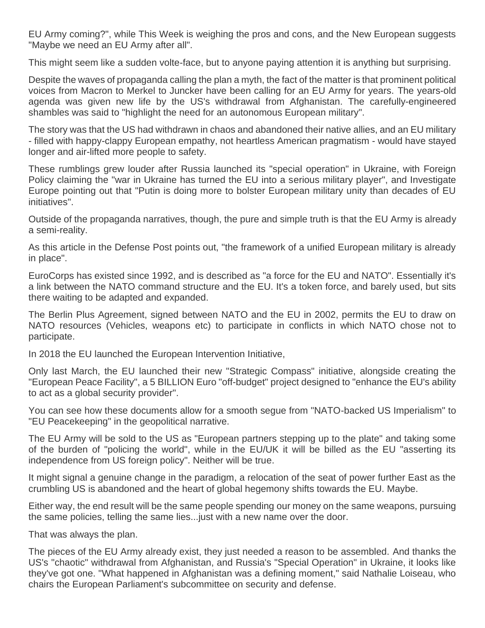EU Army coming?", while This Week is weighing the pros and cons, and the New European suggests "Maybe we need an EU Army after all".

This might seem like a sudden volte-face, but to anyone paying attention it is anything but surprising.

Despite the waves of propaganda calling the plan a myth, the fact of the matter is that prominent political voices from Macron to Merkel to Juncker have been calling for an EU Army for years. The years-old agenda was given new life by the US's withdrawal from Afghanistan. The carefully-engineered shambles was said to "highlight the need for an autonomous European military".

The story was that the US had withdrawn in chaos and abandoned their native allies, and an EU military - filled with happy-clappy European empathy, not heartless American pragmatism - would have stayed longer and air-lifted more people to safety.

These rumblings grew louder after Russia launched its "special operation" in Ukraine, with Foreign Policy claiming the "war in Ukraine has turned the EU into a serious military player", and Investigate Europe pointing out that "Putin is doing more to bolster European military unity than decades of EU initiatives".

Outside of the propaganda narratives, though, the pure and simple truth is that the EU Army is already a semi-reality.

As this article in the Defense Post points out, "the framework of a unified European military is already in place".

EuroCorps has existed since 1992, and is described as "a force for the EU and NATO". Essentially it's a link between the NATO command structure and the EU. It's a token force, and barely used, but sits there waiting to be adapted and expanded.

The Berlin Plus Agreement, signed between NATO and the EU in 2002, permits the EU to draw on NATO resources (Vehicles, weapons etc) to participate in conflicts in which NATO chose not to participate.

In 2018 the EU launched the European Intervention Initiative,

Only last March, the EU launched their new "Strategic Compass" initiative, alongside creating the "European Peace Facility", a 5 BILLION Euro "off-budget" project designed to "enhance the EU's ability to act as a global security provider".

You can see how these documents allow for a smooth segue from "NATO-backed US Imperialism" to "EU Peacekeeping" in the geopolitical narrative.

The EU Army will be sold to the US as "European partners stepping up to the plate" and taking some of the burden of "policing the world", while in the EU/UK it will be billed as the EU "asserting its independence from US foreign policy". Neither will be true.

It might signal a genuine change in the paradigm, a relocation of the seat of power further East as the crumbling US is abandoned and the heart of global hegemony shifts towards the EU. Maybe.

Either way, the end result will be the same people spending our money on the same weapons, pursuing the same policies, telling the same lies...just with a new name over the door.

That was always the plan.

The pieces of the EU Army already exist, they just needed a reason to be assembled. And thanks the US's "chaotic" withdrawal from Afghanistan, and Russia's "Special Operation" in Ukraine, it looks like they've got one. "What happened in Afghanistan was a defining moment," said Nathalie Loiseau, who chairs the European Parliament's subcommittee on security and defense.